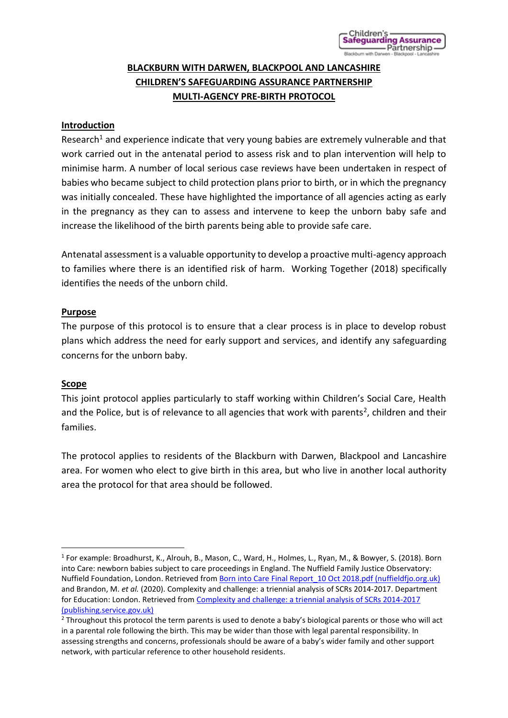# **BLACKBURN WITH DARWEN, BLACKPOOL AND LANCASHIRE CHILDREN'S SAFEGUARDING ASSURANCE PARTNERSHIP MULTI-AGENCY PRE-BIRTH PROTOCOL**

# **Introduction**

Research<sup>1</sup> and experience indicate that very young babies are extremely vulnerable and that work carried out in the antenatal period to assess risk and to plan intervention will help to minimise harm. A number of local serious case reviews have been undertaken in respect of babies who became subject to child protection plans prior to birth, or in which the pregnancy was initially concealed. These have highlighted the importance of all agencies acting as early in the pregnancy as they can to assess and intervene to keep the unborn baby safe and increase the likelihood of the birth parents being able to provide safe care.

Antenatal assessment is a valuable opportunity to develop a proactive multi-agency approach to families where there is an identified risk of harm. Working Together (2018) specifically identifies the needs of the unborn child.

#### **Purpose**

The purpose of this protocol is to ensure that a clear process is in place to develop robust plans which address the need for early support and services, and identify any safeguarding concerns for the unborn baby.

#### **Scope**

This joint protocol applies particularly to staff working within Children's Social Care, Health and the Police, but is of relevance to all agencies that work with parents<sup>2</sup>, children and their families.

The protocol applies to residents of the Blackburn with Darwen, Blackpool and Lancashire area. For women who elect to give birth in this area, but who live in another local authority area the protocol for that area should be followed.

<sup>&</sup>lt;sup>1</sup> For example: Broadhurst, K., Alrouh, B., Mason, C., Ward, H., Holmes, L., Ryan, M., & Bowyer, S. (2018). Born into Care: newborn babies subject to care proceedings in England. The Nuffield Family Justice Observatory: Nuffield Foundation, London. Retrieved from [Born into Care Final Report\\_10 Oct 2018.pdf \(nuffieldfjo.org.uk\)](https://www.nuffieldfjo.org.uk/app/nuffield/files-module/local/documents/Born%20into%20Care_Final%20Report_10%20Oct%202018.pdf) and Brandon, M. *et al.* (2020). Complexity and challenge: a triennial analysis of SCRs 2014-2017. Department for Education: London. Retrieved from [Complexity and challenge: a triennial analysis of SCRs 2014-2017](https://assets.publishing.service.gov.uk/government/uploads/system/uploads/attachment_data/file/869586/TRIENNIAL_SCR_REPORT_2014_to_2017.pdf)  [\(publishing.service.gov.uk\)](https://assets.publishing.service.gov.uk/government/uploads/system/uploads/attachment_data/file/869586/TRIENNIAL_SCR_REPORT_2014_to_2017.pdf)

<sup>&</sup>lt;sup>2</sup> Throughout this protocol the term parents is used to denote a baby's biological parents or those who will act in a parental role following the birth. This may be wider than those with legal parental responsibility. In assessing strengths and concerns, professionals should be aware of a baby's wider family and other support network, with particular reference to other household residents.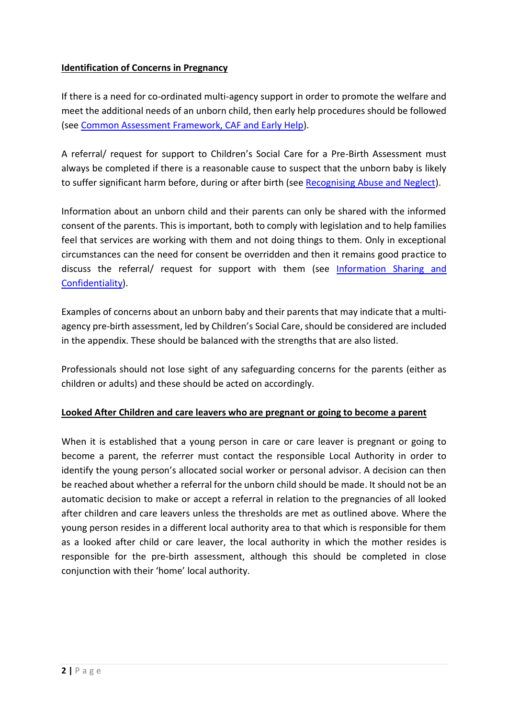# **Identification of Concerns in Pregnancy**

If there is a need for co-ordinated multi-agency support in order to promote the welfare and meet the additional needs of an unborn child, then early help procedures should be followed (see [Common Assessment Framework, CAF and Early Help\)](https://panlancashirescb.proceduresonline.com/chapters/p_com_assess_frame.html).

A referral/ request for support to Children's Social Care for a Pre-Birth Assessment must always be completed if there is a reasonable cause to suspect that the unborn baby is likely to suffer significant harm before, during or after birth (see [Recognising Abuse and Neglect\)](https://panlancashirescb.proceduresonline.com/chapters/p_recog_significant_harm.html).

Information about an unborn child and their parents can only be shared with the informed consent of the parents. This is important, both to comply with legislation and to help families feel that services are working with them and not doing things to them. Only in exceptional circumstances can the need for consent be overridden and then it remains good practice to discuss the referral/ request for support with them (see [Information Sharing and](https://panlancashirescb.proceduresonline.com/chapters/p_info_share_confident.html)  [Confidentiality\)](https://panlancashirescb.proceduresonline.com/chapters/p_info_share_confident.html).

Examples of concerns about an unborn baby and their parents that may indicate that a multiagency pre-birth assessment, led by Children's Social Care, should be considered are included in the appendix. These should be balanced with the strengths that are also listed.

Professionals should not lose sight of any safeguarding concerns for the parents (either as children or adults) and these should be acted on accordingly.

# **Looked After Children and care leavers who are pregnant or going to become a parent**

When it is established that a young person in care or care leaver is pregnant or going to become a parent, the referrer must contact the responsible Local Authority in order to identify the young person's allocated social worker or personal advisor. A decision can then be reached about whether a referral for the unborn child should be made. It should not be an automatic decision to make or accept a referral in relation to the pregnancies of all looked after children and care leavers unless the thresholds are met as outlined above. Where the young person resides in a different local authority area to that which is responsible for them as a looked after child or care leaver, the local authority in which the mother resides is responsible for the pre-birth assessment, although this should be completed in close conjunction with their 'home' local authority.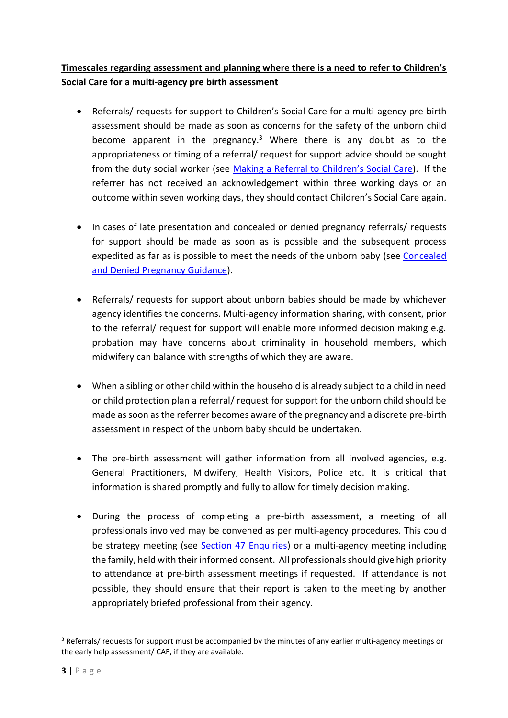# **Timescales regarding assessment and planning where there is a need to refer to Children's Social Care for a multi-agency pre birth assessment**

- Referrals/ requests for support to Children's Social Care for a multi-agency pre-birth assessment should be made as soon as concerns for the safety of the unborn child become apparent in the pregnancy.<sup>3</sup> Where there is any doubt as to the appropriateness or timing of a referral/ request for support advice should be sought from the duty social worker (see M[aking a Referral to Children's Soc](https://panlancashirescb.proceduresonline.com/chapters/p_referral_social_care.html)ial Care). If the referrer has not received an acknowledgement within three working days or an outcome within seven working days, they should contact Children's Social Care again.
- In cases of late presentation and concealed or denied pregnancy referrals/ requests for support should be made as soon as is possible and the subsequent process expedited as far as is possible to meet the needs of the unborn baby (see [Concealed](https://panlancashirescb.proceduresonline.com/pdfs/concealed_denied_preg.pdf)  [and Denied Pregnancy Guidance\)](https://panlancashirescb.proceduresonline.com/pdfs/concealed_denied_preg.pdf).
- Referrals/ requests for support about unborn babies should be made by whichever agency identifies the concerns. Multi-agency information sharing, with consent, prior to the referral/ request for support will enable more informed decision making e.g. probation may have concerns about criminality in household members, which midwifery can balance with strengths of which they are aware.
- When a sibling or other child within the household is already subject to a child in need or child protection plan a referral/ request for support for the unborn child should be made as soon as the referrer becomes aware of the pregnancy and a discrete pre-birth assessment in respect of the unborn baby should be undertaken.
- The pre-birth assessment will gather information from all involved agencies, e.g. General Practitioners, Midwifery, Health Visitors, Police etc. It is critical that information is shared promptly and fully to allow for timely decision making.
- During the process of completing a pre-birth assessment, a meeting of all professionals involved may be convened as per multi-agency procedures. This could be strategy meeting (see [Section 47 Enquiries\)](https://panlancashirescb.proceduresonline.com/chapters/p_sec_47_enq.html) or a multi-agency meeting including the family, held with their informed consent. All professionals should give high priority to attendance at pre-birth assessment meetings if requested. If attendance is not possible, they should ensure that their report is taken to the meeting by another appropriately briefed professional from their agency.

<sup>3</sup> Referrals/ requests for support must be accompanied by the minutes of any earlier multi-agency meetings or the early help assessment/ CAF, if they are available.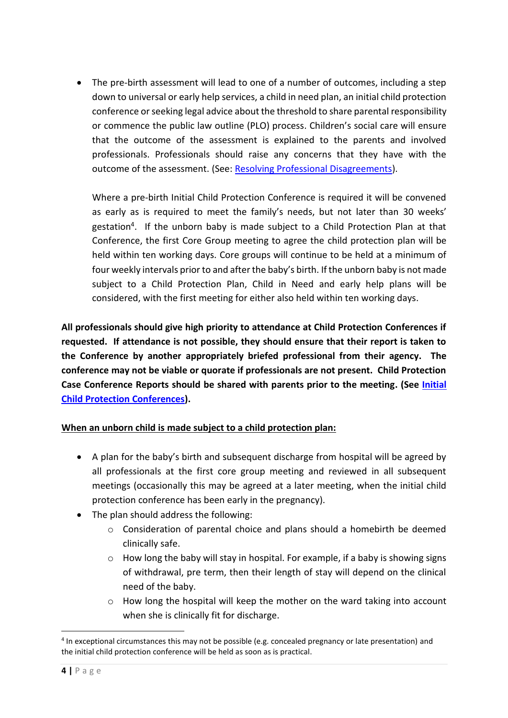• The pre-birth assessment will lead to one of a number of outcomes, including a step down to universal or early help services, a child in need plan, an initial child protection conference or seeking legal advice about the threshold to share parental responsibility or commence the public law outline (PLO) process. Children's social care will ensure that the outcome of the assessment is explained to the parents and involved professionals. Professionals should raise any concerns that they have with the outcome of the assessment. (See: [Resolving Professional Disagreements\)](https://panlancashirescb.proceduresonline.com/chapters/p_resolving_prof_disagree.html).

Where a pre-birth Initial Child Protection Conference is required it will be convened as early as is required to meet the family's needs, but not later than 30 weeks' gestation<sup>4</sup>. If the unborn baby is made subject to a Child Protection Plan at that Conference, the first Core Group meeting to agree the child protection plan will be held within ten working days. Core groups will continue to be held at a minimum of four weekly intervals prior to and after the baby's birth. If the unborn baby is not made subject to a Child Protection Plan, Child in Need and early help plans will be considered, with the first meeting for either also held within ten working days.

**All professionals should give high priority to attendance at Child Protection Conferences if requested. If attendance is not possible, they should ensure that their report is taken to the Conference by another appropriately briefed professional from their agency. The conference may not be viable or quorate if professionals are not present. Child Protection Case Conference Reports should be shared with parents prior to the meeting. (See [Initial](https://panlancashirescb.proceduresonline.com/chapters/p_initial_cp_conf.html)  [Child Protection Conferences\)](https://panlancashirescb.proceduresonline.com/chapters/p_initial_cp_conf.html).**

# **When an unborn child is made subject to a child protection plan:**

- A plan for the baby's birth and subsequent discharge from hospital will be agreed by all professionals at the first core group meeting and reviewed in all subsequent meetings (occasionally this may be agreed at a later meeting, when the initial child protection conference has been early in the pregnancy).
- The plan should address the following:
	- o Consideration of parental choice and plans should a homebirth be deemed clinically safe.
	- o How long the baby will stay in hospital. For example, if a baby is showing signs of withdrawal, pre term, then their length of stay will depend on the clinical need of the baby.
	- o How long the hospital will keep the mother on the ward taking into account when she is clinically fit for discharge.

<sup>&</sup>lt;sup>4</sup> In exceptional circumstances this may not be possible (e.g. concealed pregnancy or late presentation) and the initial child protection conference will be held as soon as is practical.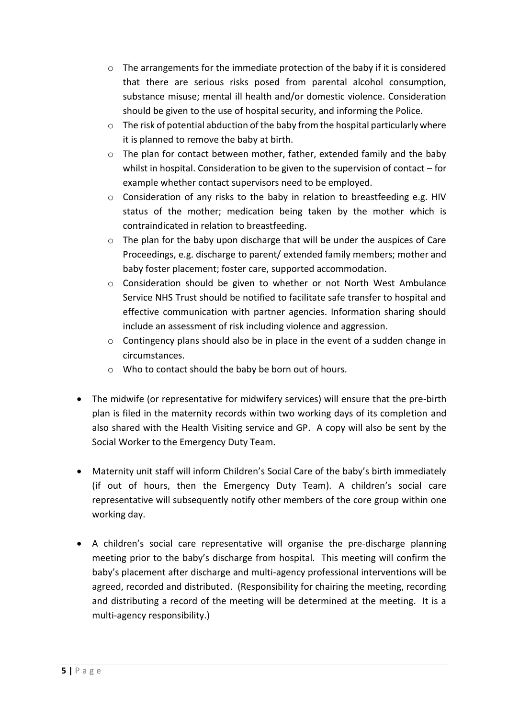- $\circ$  The arrangements for the immediate protection of the baby if it is considered that there are serious risks posed from parental alcohol consumption, substance misuse; mental ill health and/or domestic violence. Consideration should be given to the use of hospital security, and informing the Police.
- o The risk of potential abduction of the baby from the hospital particularly where it is planned to remove the baby at birth.
- $\circ$  The plan for contact between mother, father, extended family and the baby whilst in hospital. Consideration to be given to the supervision of contact – for example whether contact supervisors need to be employed.
- $\circ$  Consideration of any risks to the baby in relation to breastfeeding e.g. HIV status of the mother; medication being taken by the mother which is contraindicated in relation to breastfeeding.
- $\circ$  The plan for the baby upon discharge that will be under the auspices of Care Proceedings, e.g. discharge to parent/ extended family members; mother and baby foster placement; foster care, supported accommodation.
- $\circ$  Consideration should be given to whether or not North West Ambulance Service NHS Trust should be notified to facilitate safe transfer to hospital and effective communication with partner agencies. Information sharing should include an assessment of risk including violence and aggression.
- o Contingency plans should also be in place in the event of a sudden change in circumstances.
- o Who to contact should the baby be born out of hours.
- The midwife (or representative for midwifery services) will ensure that the pre-birth plan is filed in the maternity records within two working days of its completion and also shared with the Health Visiting service and GP. A copy will also be sent by the Social Worker to the Emergency Duty Team.
- Maternity unit staff will inform Children's Social Care of the baby's birth immediately (if out of hours, then the Emergency Duty Team). A children's social care representative will subsequently notify other members of the core group within one working day.
- A children's social care representative will organise the pre-discharge planning meeting prior to the baby's discharge from hospital. This meeting will confirm the baby's placement after discharge and multi-agency professional interventions will be agreed, recorded and distributed. (Responsibility for chairing the meeting, recording and distributing a record of the meeting will be determined at the meeting. It is a multi-agency responsibility.)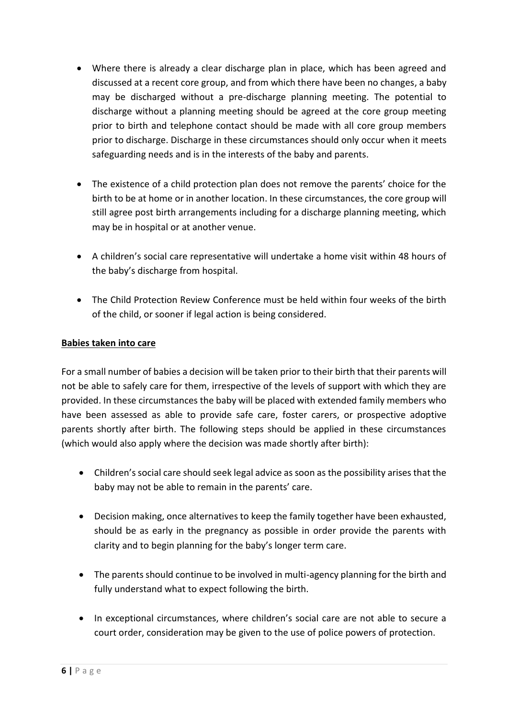- Where there is already a clear discharge plan in place, which has been agreed and discussed at a recent core group, and from which there have been no changes, a baby may be discharged without a pre-discharge planning meeting. The potential to discharge without a planning meeting should be agreed at the core group meeting prior to birth and telephone contact should be made with all core group members prior to discharge. Discharge in these circumstances should only occur when it meets safeguarding needs and is in the interests of the baby and parents.
- The existence of a child protection plan does not remove the parents' choice for the birth to be at home or in another location. In these circumstances, the core group will still agree post birth arrangements including for a discharge planning meeting, which may be in hospital or at another venue.
- A children's social care representative will undertake a home visit within 48 hours of the baby's discharge from hospital.
- The Child Protection Review Conference must be held within four weeks of the birth of the child, or sooner if legal action is being considered.

# **Babies taken into care**

For a small number of babies a decision will be taken prior to their birth that their parents will not be able to safely care for them, irrespective of the levels of support with which they are provided. In these circumstances the baby will be placed with extended family members who have been assessed as able to provide safe care, foster carers, or prospective adoptive parents shortly after birth. The following steps should be applied in these circumstances (which would also apply where the decision was made shortly after birth):

- Children's social care should seek legal advice as soon as the possibility arises that the baby may not be able to remain in the parents' care.
- Decision making, once alternatives to keep the family together have been exhausted, should be as early in the pregnancy as possible in order provide the parents with clarity and to begin planning for the baby's longer term care.
- The parents should continue to be involved in multi-agency planning for the birth and fully understand what to expect following the birth.
- In exceptional circumstances, where children's social care are not able to secure a court order, consideration may be given to the use of police powers of protection.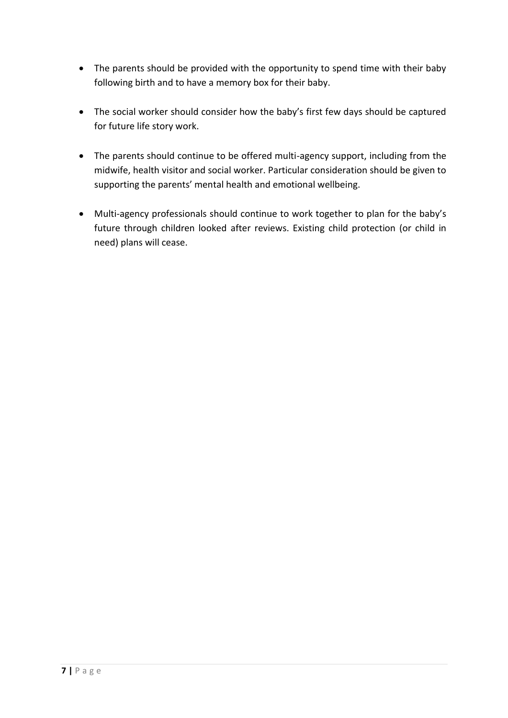- The parents should be provided with the opportunity to spend time with their baby following birth and to have a memory box for their baby.
- The social worker should consider how the baby's first few days should be captured for future life story work.
- The parents should continue to be offered multi-agency support, including from the midwife, health visitor and social worker. Particular consideration should be given to supporting the parents' mental health and emotional wellbeing.
- Multi-agency professionals should continue to work together to plan for the baby's future through children looked after reviews. Existing child protection (or child in need) plans will cease.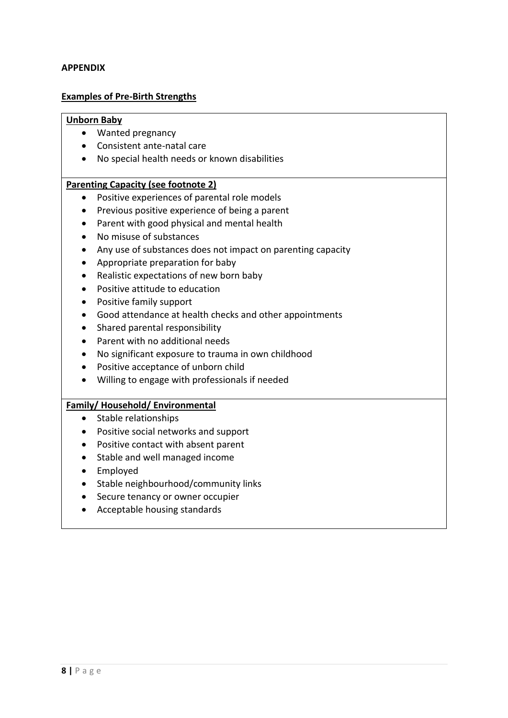#### **APPENDIX**

#### **Examples of Pre-Birth Strengths**

#### **Unborn Baby**

- Wanted pregnancy
- Consistent ante-natal care
- No special health needs or known disabilities

#### **Parenting Capacity (see footnote 2)**

- Positive experiences of parental role models
- Previous positive experience of being a parent
- Parent with good physical and mental health
- No misuse of substances
- Any use of substances does not impact on parenting capacity
- Appropriate preparation for baby
- Realistic expectations of new born baby
- Positive attitude to education
- Positive family support
- Good attendance at health checks and other appointments
- Shared parental responsibility
- Parent with no additional needs
- No significant exposure to trauma in own childhood
- Positive acceptance of unborn child
- Willing to engage with professionals if needed

#### **Family/ Household/ Environmental**

- Stable relationships
- Positive social networks and support
- Positive contact with absent parent
- Stable and well managed income
- Employed
- Stable neighbourhood/community links
- Secure tenancy or owner occupier
- Acceptable housing standards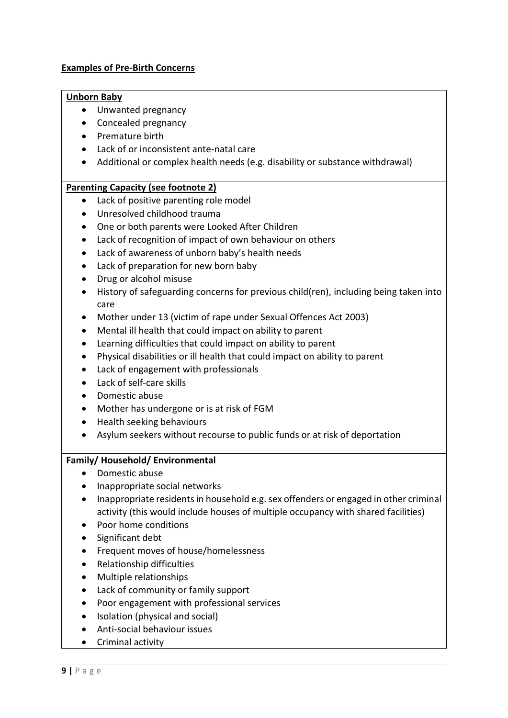### **Examples of Pre-Birth Concerns**

#### **Unborn Baby**

- Unwanted pregnancy
- Concealed pregnancy
- Premature birth
- Lack of or inconsistent ante-natal care
- Additional or complex health needs (e.g. disability or substance withdrawal)

### **Parenting Capacity (see footnote 2)**

- Lack of positive parenting role model
- Unresolved childhood trauma
- One or both parents were Looked After Children
- Lack of recognition of impact of own behaviour on others
- Lack of awareness of unborn baby's health needs
- Lack of preparation for new born baby
- Drug or alcohol misuse
- History of safeguarding concerns for previous child(ren), including being taken into care
- Mother under 13 (victim of rape under Sexual Offences Act 2003)
- Mental ill health that could impact on ability to parent
- Learning difficulties that could impact on ability to parent
- Physical disabilities or ill health that could impact on ability to parent
- Lack of engagement with professionals
- Lack of self-care skills
- Domestic abuse
- Mother has undergone or is at risk of FGM
- Health seeking behaviours
- Asylum seekers without recourse to public funds or at risk of deportation

# **Family/ Household/ Environmental**

- Domestic abuse
- Inappropriate social networks
- Inappropriate residents in household e.g. sex offenders or engaged in other criminal activity (this would include houses of multiple occupancy with shared facilities)
- Poor home conditions
- Significant debt
- Frequent moves of house/homelessness
- Relationship difficulties
- Multiple relationships
- Lack of community or family support
- Poor engagement with professional services
- Isolation (physical and social)
- Anti-social behaviour issues
- Criminal activity